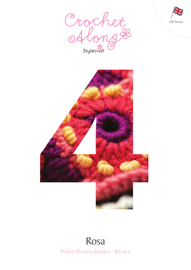





# Frida's Flowers Blanket – Block 4 Rosa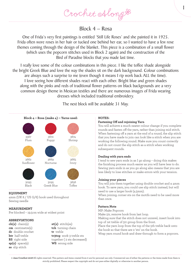Crochet Along &

Block 4 – Rosa

One of Frida's very first paintings is entitled 'Still Life Roses' and she painted it in 1925. Frida often wore roses in her hair or tucked one behind her ear, so I wanted to have a few rose themes coming through the design of the blanket. This piece is a combination of a small flower (which uses the popcorn stitches used in Block 2 again) and the construction of the Bird of Paradise blocks that you made last time.

I really love some of the colour combinations in this piece. I like the toffee shade alongside the bright Greek Blue and love the way the shades sit on the dark background. Colour combinations are always such a surprise to me (even though it means I rip work back ALL the time). I love seeing how different shades react with each other. Bright blue and green shades along with the pinks and reds of traditional flower patterns on black backgrounds are a very common design theme in Mexican textiles and there are numerous images of Frida wearing dresses which included traditional embroidery.

The next block will be available 31 May.



# **EQUIPMENT**

4mm (UK 8 / US G/6) hook used throughout Sewing needle

# **MEASUREMENT**

Pre blocked – 19.5cm wide at widest point

# **ABBREVIATIONS**

**ch(s)** chain(s) **cm** centimetre(s) **dc** double crochet **htr** half treble **RS** right side **sp(s)** space(s) **ss** slip stitch

**st(s)** stitch(es) **tch** turning chain **tr** treble **tr3tog** work 3 treble sts together ( 2 sts decreased) **WS** wrong side

## **NOTES:**

## **Fastening Off and rejoining Yarn**

You will achieve a much neater colour change if you complete rounds and fasten off the yarn, rather than joining mid stitch. When fastening off a yarn at the end of a round, the slip stitch that you have made to join can look like a stitch when you are working the following round. Make sure you count correctly and do not count the slip stitch as a stitch when working subsequent rounds.

1

# **Dealing with yarn ends**

I tend to sew yarn ends in as I go along – doing this makes the finishing process much easier as you will have less to do. Sewing yarn ends in as you go along also means that you are less likely to lose stitches or make errors with your tension.

#### **Joining your pieces**

You will join them together using double crochet and a 4mm hook. To save yarn, you could use slip stitch instead, but will need to use a larger hook (4.5mm).

When joining, corner sts on the motifs need to be used more than once.

# **Pattern Note**

MP: Make Popcorn

Make 5tr, remove hook from last loop.

Making sure that the stitch does not unravel, insert hook into top of 1st treble of 5tr group from the front.

Place the yarn loop from the top of the 5th treble back onto the hook so that there are 2 'sts' on the hook.

Wrap yarn round hook and draw through to form a popcorn.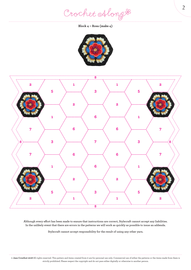Crochet Along #

**Block 4 – Rosa (make 4)**





**Although every effort has been made to ensure that instructions are correct, Stylecraft cannot accept any liabilities. In the unlikely event that there are errors in the patterns we will work as quickly as possible to issue an addenda.**

**Stylecraft cannot accept responsibility for the result of using any other yarn.**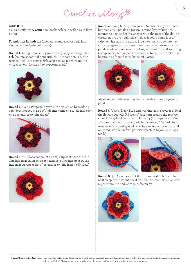# Crochet Along #

#### **METHOD**

Using Sunflower & **4mm** hook make 5ch, join with a ss to form a ring

**Foundation Round:** 1ch (does not count as a st), 12dc into ring, ss to join, fasten off (12sts)

**Round 1:** Using Plum, join yarn into any st by working 1ch + 2ch (counts as 1st tr of popcorn), MP into same st, 3ch, skip next st, \* MP into next st, 3ch, skip next st; repeat from \* to end, ss to join, fasten off (6 popcorns made)



**Round 2:** Using Poppy join yarn into any 3ch sp by working 1ch (does not count as a st), 5dc into same ch sp, 5dc into each ch sp to end, ss to join, (30sts)



**Round 3:** 1ch (does not count as a st) skip st at base of 1ch, \* 1htr into next st, 2tr into each next 2sts, 1htr into next st, 1dc into next st; repeat from \* to end, ss to join, fasten off (42sts)



**Round 4:** Using Shrimp join yarn into base of any 1dc made between any 2 petals on previous round by working 1ch (counts as 1 spike dc) this st covers up the post of the dc - be careful not to over pull this stitch as it could come loose, \* skip next htr, 2dc into next st, [1dc into next st, 2dc into next st] twice, spike dc into base of next dc made between next 2 petals made on previous round; repeat from \* to end, omitting last spike dc on final pattern repeat, ss to centre of spike st at beginning of round join, fasten off (54sts)



Measurement: 8.5cm across centre – widest point of petal to petal

**Round 5:** Using Greek Blue and working at the reverse side of the flower (but with RS facing) join yarn around the reverse side of the spiked dc made on Round 4 (Shrimp) by working 1ch (does not count as a st), 1dc into same st, \* 6ch, 1dc into reverse side of next spiked dc as before; repeat from \* to end, omitting last 1dc on final pattern repeat, ss to join, (6 ch sps made)





**Round 6:** 3ch (counts as 1tr), 6tr into same st, 1ch, 1dc into next ch sp, 1ch, \* 7tr into next dc, 1ch, 1dc into next ch sp, 1ch; repeat from \* to end, ss to join, fasten off

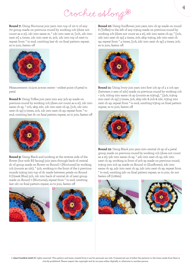Crochet Along #

**Round 7:** Using Nocturne join yarn into top of 1st tr of any 7tr group made on previous round by working 1ch (does not count as a st), 1dc into same st, \* 1dc into next st, [1ch, 1dc into next st] 4 times, 1dc into next st, 3ch, 1dc into top of next tr; repeat from \* to end, omitting last dc on final pattern repeat, ss to join, fasten off



Measurement: 10.5cm across centre – widest point of petal to petal

**Round 8:** Using Toffee join yarn into any 3ch sp made on previous round by working 1ch (does not count as a st), 1dc into same ch sp, \* 2ch, skip 2dc, 1dc into next ch sp, [1ch, 1dc into next ch sp] 3 times, 2ch, 1dc into next ch sp; repeat from \* to end, omitting last dc on final pattern repeat, ss to join, fasten off



**Round 9:** Using Black and working at the reverse side of the flower (but with RS facing) join yarn through back of central dc of group made on flower on Round 7 (Nocturne) by working 1ch (counts as 1dc), \* 5ch, working to the front of the 2 previous rounds tr3tog into top of dc made between petals on Round 6 (Greek Blue) 5ch, 1dc into back of central dc of next group made on Round 7 (Nocturne); repeat from \* to end, omitting last 1dc on final pattern repeat, ss to join, fasten off





**Round 10:** Using Sunflower, join yarn into ch sp made on round 8 (Toffee) to the left of any tr3tog made on previous round by working 1ch (does not count as a st), 2dc into same ch sp, \* [1ch, 2dc into next ch sp] 4 times, 2ch, skip tr3tog, 2dc into next ch sp; repeat from \* 4 times, [1ch, 2dc into next ch sp] 4 times, 2ch, ss to join, fasten off



**Round 11:** Using Ivory join yarn into first 1ch sp of 4 x 1ch sps (between 2 sets of 2dc) made on previous round by working 1ch + 2ch, tr2tog into same ch sp (counts as tr3tog), \* [3ch, tr3tog into next ch sp] 3 times, 3ch, skip 2dc & 2ch & 2dc, tr3tog into next ch sp; repeat from \* to end, omitting tr3tog on final pattern repeat, ss to join, fasten off



**Round 12:** Using Black join yarn into central ch sp of 4 petal group made on previous round by working 1ch (does not count as a st), 5dc into same ch sp, \* 4dc into next ch sp, 2dc into next ch sp, working in front of 3ch sp made on previous round, tr3tog into 2ch sp made on Round 10 (Sunflower), 2dc into same ch sp, 4dc into next ch sp, 5dc into next ch sp; repeat from \* to end, omitting 5dc on final pattern repeat, ss to join, do not fasten off (108sts)